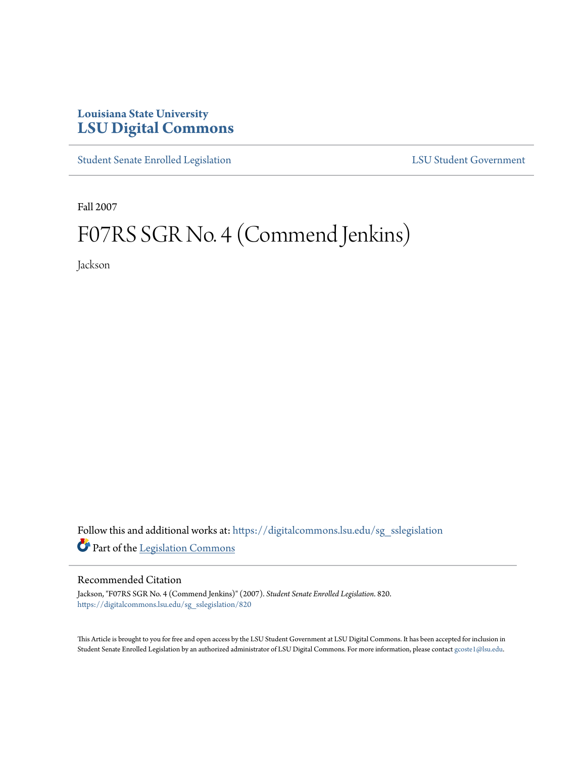## **Louisiana State University [LSU Digital Commons](https://digitalcommons.lsu.edu?utm_source=digitalcommons.lsu.edu%2Fsg_sslegislation%2F820&utm_medium=PDF&utm_campaign=PDFCoverPages)**

[Student Senate Enrolled Legislation](https://digitalcommons.lsu.edu/sg_sslegislation?utm_source=digitalcommons.lsu.edu%2Fsg_sslegislation%2F820&utm_medium=PDF&utm_campaign=PDFCoverPages) [LSU Student Government](https://digitalcommons.lsu.edu/sg?utm_source=digitalcommons.lsu.edu%2Fsg_sslegislation%2F820&utm_medium=PDF&utm_campaign=PDFCoverPages)

Fall 2007

# F07RS SGR No. 4 (Commend Jenkins)

Jackson

Follow this and additional works at: [https://digitalcommons.lsu.edu/sg\\_sslegislation](https://digitalcommons.lsu.edu/sg_sslegislation?utm_source=digitalcommons.lsu.edu%2Fsg_sslegislation%2F820&utm_medium=PDF&utm_campaign=PDFCoverPages) Part of the [Legislation Commons](http://network.bepress.com/hgg/discipline/859?utm_source=digitalcommons.lsu.edu%2Fsg_sslegislation%2F820&utm_medium=PDF&utm_campaign=PDFCoverPages)

#### Recommended Citation

Jackson, "F07RS SGR No. 4 (Commend Jenkins)" (2007). *Student Senate Enrolled Legislation*. 820. [https://digitalcommons.lsu.edu/sg\\_sslegislation/820](https://digitalcommons.lsu.edu/sg_sslegislation/820?utm_source=digitalcommons.lsu.edu%2Fsg_sslegislation%2F820&utm_medium=PDF&utm_campaign=PDFCoverPages)

This Article is brought to you for free and open access by the LSU Student Government at LSU Digital Commons. It has been accepted for inclusion in Student Senate Enrolled Legislation by an authorized administrator of LSU Digital Commons. For more information, please contact [gcoste1@lsu.edu.](mailto:gcoste1@lsu.edu)